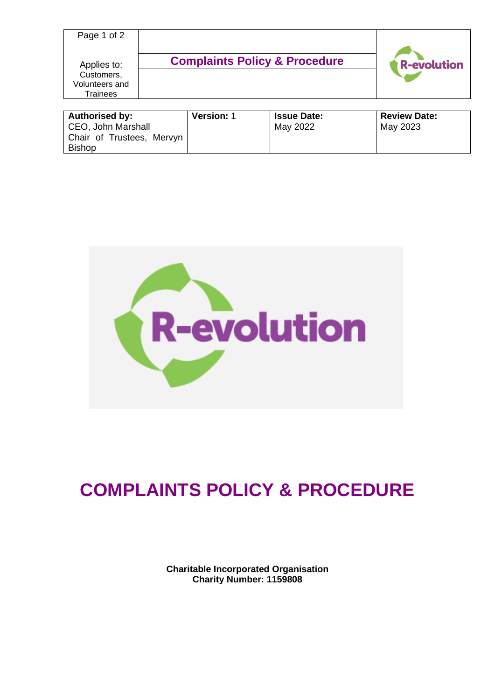| Page 1 of 2                                             |                   |                                          |                    |                     |                    |
|---------------------------------------------------------|-------------------|------------------------------------------|--------------------|---------------------|--------------------|
| Applies to:<br>Customers,<br>Volunteers and<br>Trainees |                   | <b>Complaints Policy &amp; Procedure</b> |                    |                     | <b>R-evolution</b> |
| <b>Authorised by:</b>                                   | <b>Version: 1</b> |                                          | <b>Issue Date:</b> | <b>Review Date:</b> |                    |

| <b>Authorised by:</b>                      | <b>Version: 1</b> | <b>Issue Date:</b> | <b>Review Date:</b> |
|--------------------------------------------|-------------------|--------------------|---------------------|
| CEO, John Marshall                         |                   | May 2022           | May 2023            |
| Chair of Trustees, Mervyn<br><b>Bishop</b> |                   |                    |                     |



# **COMPLAINTS POLICY & PROCEDURE**

**Charitable Incorporated Organisation Charity Number: 1159808**